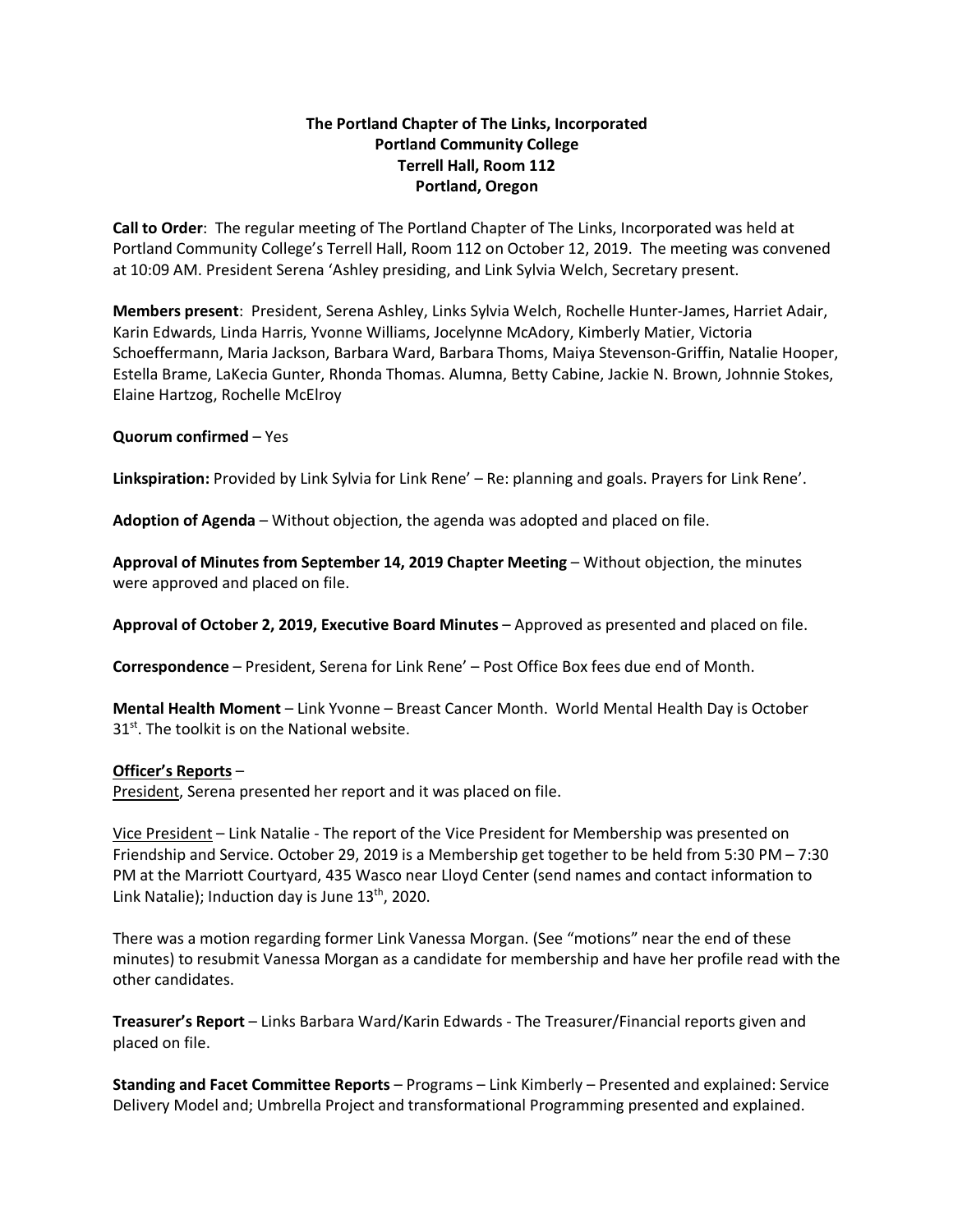## **The Portland Chapter of The Links, Incorporated Portland Community College Terrell Hall, Room 112 Portland, Oregon**

**Call to Order**: The regular meeting of The Portland Chapter of The Links, Incorporated was held at Portland Community College's Terrell Hall, Room 112 on October 12, 2019. The meeting was convened at 10:09 AM. President Serena 'Ashley presiding, and Link Sylvia Welch, Secretary present.

**Members present**: President, Serena Ashley, Links Sylvia Welch, Rochelle Hunter-James, Harriet Adair, Karin Edwards, Linda Harris, Yvonne Williams, Jocelynne McAdory, Kimberly Matier, Victoria Schoeffermann, Maria Jackson, Barbara Ward, Barbara Thoms, Maiya Stevenson-Griffin, Natalie Hooper, Estella Brame, LaKecia Gunter, Rhonda Thomas. Alumna, Betty Cabine, Jackie N. Brown, Johnnie Stokes, Elaine Hartzog, Rochelle McElroy

**Quorum confirmed** – Yes

**Linkspiration:** Provided by Link Sylvia for Link Rene' – Re: planning and goals. Prayers for Link Rene'.

**Adoption of Agenda** – Without objection, the agenda was adopted and placed on file.

**Approval of Minutes from September 14, 2019 Chapter Meeting** – Without objection, the minutes were approved and placed on file.

**Approval of October 2, 2019, Executive Board Minutes** – Approved as presented and placed on file.

**Correspondence** – President, Serena for Link Rene' – Post Office Box fees due end of Month.

**Mental Health Moment** – Link Yvonne – Breast Cancer Month. World Mental Health Day is October 31<sup>st</sup>. The toolkit is on the National website.

## **Officer's Reports** –

President, Serena presented her report and it was placed on file.

Vice President – Link Natalie - The report of the Vice President for Membership was presented on Friendship and Service. October 29, 2019 is a Membership get together to be held from 5:30 PM – 7:30 PM at the Marriott Courtyard, 435 Wasco near Lloyd Center (send names and contact information to Link Natalie); Induction day is June  $13<sup>th</sup>$ , 2020.

There was a motion regarding former Link Vanessa Morgan. (See "motions" near the end of these minutes) to resubmit Vanessa Morgan as a candidate for membership and have her profile read with the other candidates.

**Treasurer's Report** – Links Barbara Ward/Karin Edwards - The Treasurer/Financial reports given and placed on file.

**Standing and Facet Committee Reports** – Programs – Link Kimberly – Presented and explained: Service Delivery Model and; Umbrella Project and transformational Programming presented and explained.